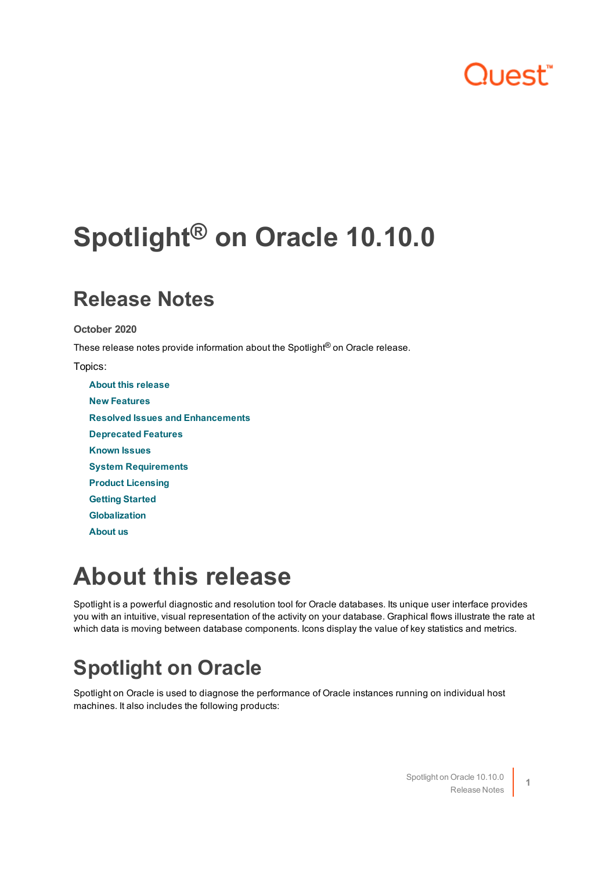## ר ור"

# <span id="page-0-1"></span>**Spotlight® on Oracle 10.10.0**

### **Release Notes**

**October 2020**

These release notes provide information about the Spotlight<sup>®</sup> on Oracle release.

Topics:

**About this [release](#page-0-0) New [Features](#page-1-0) Resolved Issues and [Enhancements](#page-1-1) [Deprecated](#page-2-0) Features [Known](#page-2-1) Issues System [Requirements](#page-12-0) Product [Licensing](#page-17-0) Getting [Started](#page-18-0) [Globalization](#page-18-1) [About](#page-19-0) us**

## <span id="page-0-0"></span>**About this release**

Spotlight is a powerful diagnostic and resolution tool for Oracle databases. Its unique user interface provides you with an intuitive, visual representation of the activity on your database. Graphical flows illustrate the rate at which data is moving between database components. Icons display the value of key statistics and metrics.

## **Spotlight on Oracle**

Spotlight on Oracle is used to diagnose the performance of Oracle instances running on individual host machines. It also includes the following products: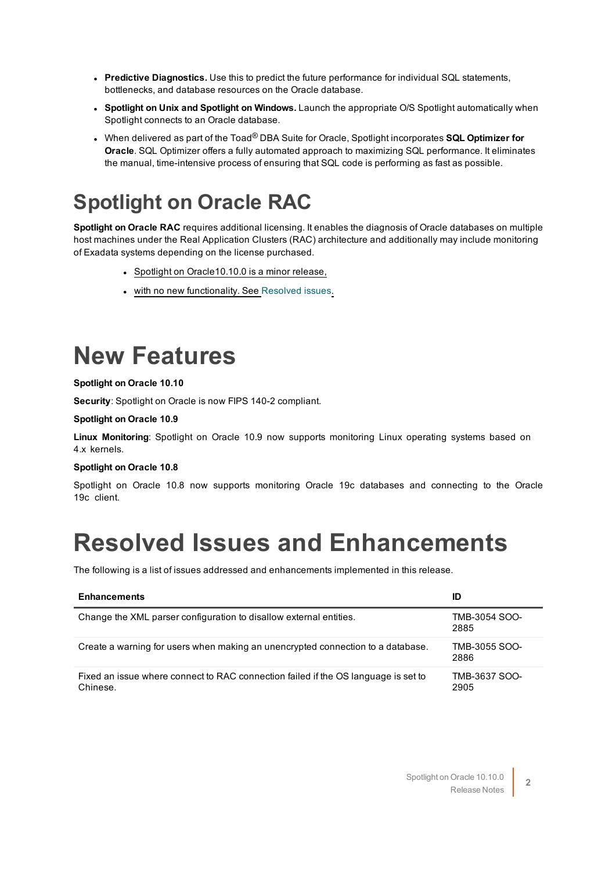- **Predictive Diagnostics.** Use this to predict the future performance for individual SQL statements, bottlenecks, and database resources on the Oracle database.
- <sup>l</sup> **Spotlight on Unix and Spotlight on Windows.** Launch the appropriate O/S Spotlight automatically when Spotlight connects to an Oracle database.
- <sup>l</sup> When delivered as part of the Toad® DBA Suite for Oracle, Spotlight incorporates **SQL Optimizer for Oracle**. SQL Optimizer offers a fully automated approach to maximizing SQL performance. It eliminates the manual, time-intensive process of ensuring that SQL code is performing as fast as possible.

### **Spotlight on Oracle RAC**

**Spotlight on Oracle RAC** requires additional licensing. It enables the diagnosis of Oracle databases on multiple host machines under the Real Application Clusters (RAC) architecture and additionally may include monitoring of Exadata systems depending on the license purchased.

- Spotlight on Oracle10.10.0 is a minor release,
- with no new functionality. See [Resolved](#page-1-1) issues.

## <span id="page-1-0"></span>**New Features**

#### **Spotlight on Oracle 10.10**

**Security**: Spotlight on Oracle is now FIPS 140-2 compliant.

#### **Spotlight on Oracle 10.9**

**Linux Monitoring**: Spotlight on Oracle 10.9 now supports monitoring Linux operating systems based on 4.x kernels.

#### **Spotlight on Oracle 10.8**

<span id="page-1-1"></span>Spotlight on Oracle 10.8 now supports monitoring Oracle 19c databases and connecting to the Oracle 19c client.

## **Resolved Issues and Enhancements**

The following is a list of issues addressed and enhancements implemented in this release.

| <b>Enhancements</b>                                                                            | ID                    |
|------------------------------------------------------------------------------------------------|-----------------------|
| Change the XML parser configuration to disallow external entities.                             | TMB-3054 SOO-<br>2885 |
| Create a warning for users when making an unencrypted connection to a database.                | TMB-3055 SOO-<br>2886 |
| Fixed an issue where connect to RAC connection failed if the OS language is set to<br>Chinese. | TMB-3637 SOO-<br>2905 |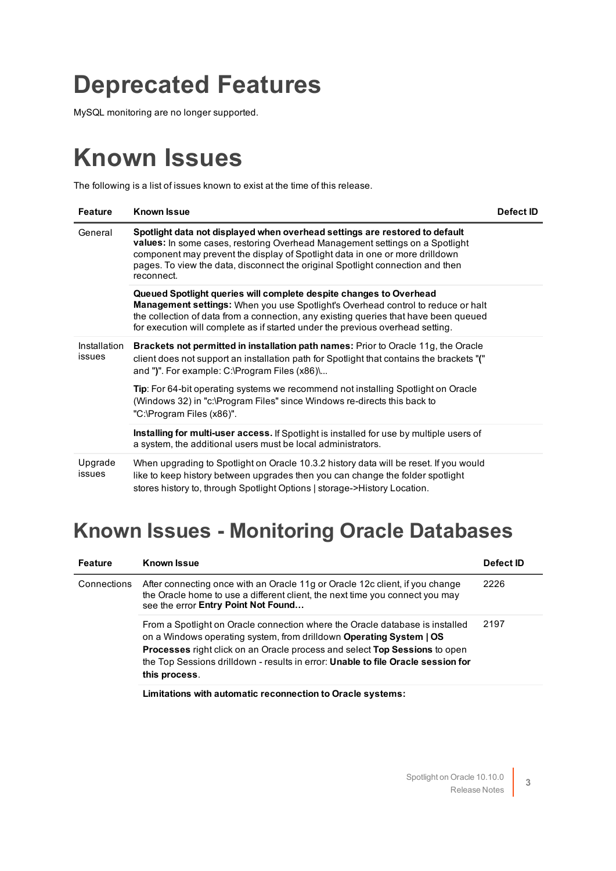## <span id="page-2-0"></span>**Deprecated Features**

<span id="page-2-1"></span>MySQL monitoring are no longer supported.

## **Known Issues**

The following is a list of issues known to exist at the time of this release.

| <b>Feature</b>         | <b>Known Issue</b>                                                                                                                                                                                                                                                                                                                          | Defect ID |
|------------------------|---------------------------------------------------------------------------------------------------------------------------------------------------------------------------------------------------------------------------------------------------------------------------------------------------------------------------------------------|-----------|
| General                | Spotlight data not displayed when overhead settings are restored to default<br>values: In some cases, restoring Overhead Management settings on a Spotlight<br>component may prevent the display of Spotlight data in one or more drilldown<br>pages. To view the data, disconnect the original Spotlight connection and then<br>reconnect. |           |
|                        | Queued Spotlight queries will complete despite changes to Overhead<br>Management settings: When you use Spotlight's Overhead control to reduce or halt<br>the collection of data from a connection, any existing queries that have been queued<br>for execution will complete as if started under the previous overhead setting.            |           |
| Installation<br>issues | Brackets not permitted in installation path names: Prior to Oracle 11g, the Oracle<br>client does not support an installation path for Spotlight that contains the brackets "("<br>and ")". For example: C:\Program Files (x86)\                                                                                                            |           |
|                        | Tip: For 64-bit operating systems we recommend not installing Spotlight on Oracle<br>(Windows 32) in "c:\Program Files" since Windows re-directs this back to<br>"C:\Program Files (x86)".                                                                                                                                                  |           |
|                        | <b>Installing for multi-user access.</b> If Spotlight is installed for use by multiple users of<br>a system, the additional users must be local administrators.                                                                                                                                                                             |           |
| Upgrade<br>issues      | When upgrading to Spotlight on Oracle 10.3.2 history data will be reset. If you would<br>like to keep history between upgrades then you can change the folder spotlight<br>stores history to, through Spotlight Options   storage->History Location.                                                                                        |           |

### **Known Issues - Monitoring Oracle Databases**

| <b>Feature</b> | <b>Known Issue</b>                                                                                                                                                                                                                                                                                                                     | Defect ID |
|----------------|----------------------------------------------------------------------------------------------------------------------------------------------------------------------------------------------------------------------------------------------------------------------------------------------------------------------------------------|-----------|
| Connections    | After connecting once with an Oracle 11g or Oracle 12c client, if you change<br>the Oracle home to use a different client, the next time you connect you may<br>see the error Entry Point Not Found                                                                                                                                    | 2226      |
|                | From a Spotlight on Oracle connection where the Oracle database is installed<br>on a Windows operating system, from drilldown Operating System   OS<br>Processes right click on an Oracle process and select Top Sessions to open<br>the Top Sessions drilldown - results in error: Unable to file Oracle session for<br>this process. | 2197      |

**Limitations with automatic reconnection to Oracle systems:**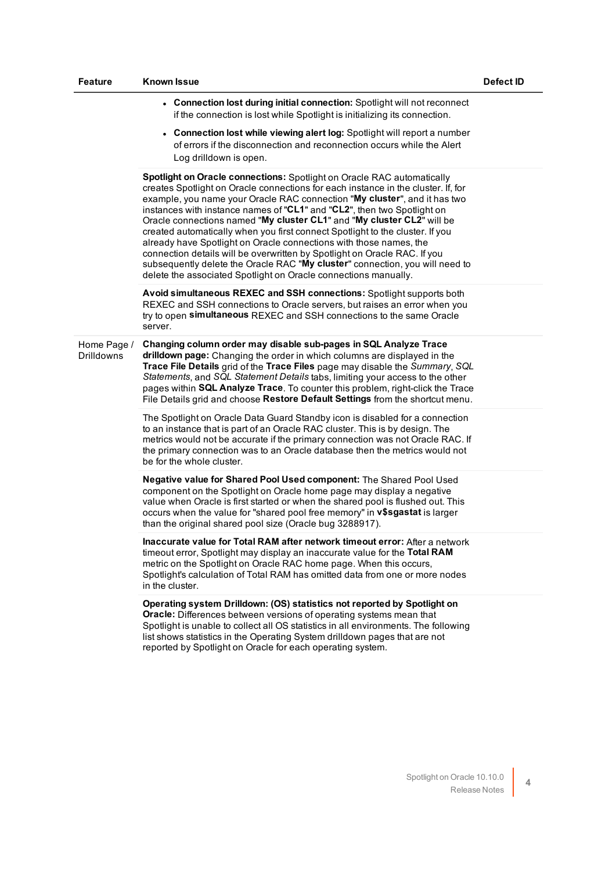| Feature                   | <b>Known Issue</b>                                                                                                                                                                                                                                                                                                                                                                                                                                                                                                                                                                                                                                                                                                                                                                   | Defect ID |
|---------------------------|--------------------------------------------------------------------------------------------------------------------------------------------------------------------------------------------------------------------------------------------------------------------------------------------------------------------------------------------------------------------------------------------------------------------------------------------------------------------------------------------------------------------------------------------------------------------------------------------------------------------------------------------------------------------------------------------------------------------------------------------------------------------------------------|-----------|
|                           | • Connection lost during initial connection: Spotlight will not reconnect<br>if the connection is lost while Spotlight is initializing its connection.                                                                                                                                                                                                                                                                                                                                                                                                                                                                                                                                                                                                                               |           |
|                           | • Connection lost while viewing alert log: Spotlight will report a number<br>of errors if the disconnection and reconnection occurs while the Alert<br>Log drilldown is open.                                                                                                                                                                                                                                                                                                                                                                                                                                                                                                                                                                                                        |           |
|                           | Spotlight on Oracle connections: Spotlight on Oracle RAC automatically<br>creates Spotlight on Oracle connections for each instance in the cluster. If, for<br>example, you name your Oracle RAC connection "My cluster", and it has two<br>instances with instance names of "CL1" and "CL2", then two Spotlight on<br>Oracle connections named "My cluster CL1" and "My cluster CL2" will be<br>created automatically when you first connect Spotlight to the cluster. If you<br>already have Spotlight on Oracle connections with those names, the<br>connection details will be overwritten by Spotlight on Oracle RAC. If you<br>subsequently delete the Oracle RAC "My cluster" connection, you will need to<br>delete the associated Spotlight on Oracle connections manually. |           |
|                           | Avoid simultaneous REXEC and SSH connections: Spotlight supports both<br>REXEC and SSH connections to Oracle servers, but raises an error when you<br>try to open simultaneous REXEC and SSH connections to the same Oracle<br>server.                                                                                                                                                                                                                                                                                                                                                                                                                                                                                                                                               |           |
| Home Page /<br>Drilldowns | Changing column order may disable sub-pages in SQL Analyze Trace<br>drilldown page: Changing the order in which columns are displayed in the<br>Trace File Details grid of the Trace Files page may disable the Summary, SQL<br>Statements, and SQL Statement Details tabs, limiting your access to the other<br>pages within SQL Analyze Trace. To counter this problem, right-click the Trace<br>File Details grid and choose Restore Default Settings from the shortcut menu.                                                                                                                                                                                                                                                                                                     |           |
|                           | The Spotlight on Oracle Data Guard Standby icon is disabled for a connection<br>to an instance that is part of an Oracle RAC cluster. This is by design. The<br>metrics would not be accurate if the primary connection was not Oracle RAC. If<br>the primary connection was to an Oracle database then the metrics would not<br>be for the whole cluster.                                                                                                                                                                                                                                                                                                                                                                                                                           |           |
|                           | Negative value for Shared Pool Used component: The Shared Pool Used<br>component on the Spotlight on Oracle home page may display a negative<br>value when Oracle is first started or when the shared pool is flushed out. This<br>occurs when the value for "shared pool free memory" in v\$sgastat is larger<br>than the original shared pool size (Oracle bug 3288917).                                                                                                                                                                                                                                                                                                                                                                                                           |           |
|                           | Inaccurate value for Total RAM after network timeout error: After a network<br>timeout error, Spotlight may display an inaccurate value for the Total RAM<br>metric on the Spotlight on Oracle RAC home page. When this occurs,<br>Spotlight's calculation of Total RAM has omitted data from one or more nodes<br>in the cluster.                                                                                                                                                                                                                                                                                                                                                                                                                                                   |           |
|                           | Operating system Drilldown: (OS) statistics not reported by Spotlight on<br>Oracle: Differences between versions of operating systems mean that<br>Spotlight is unable to collect all OS statistics in all environments. The following<br>list shows statistics in the Operating System drilldown pages that are not<br>reported by Spotlight on Oracle for each operating system.                                                                                                                                                                                                                                                                                                                                                                                                   |           |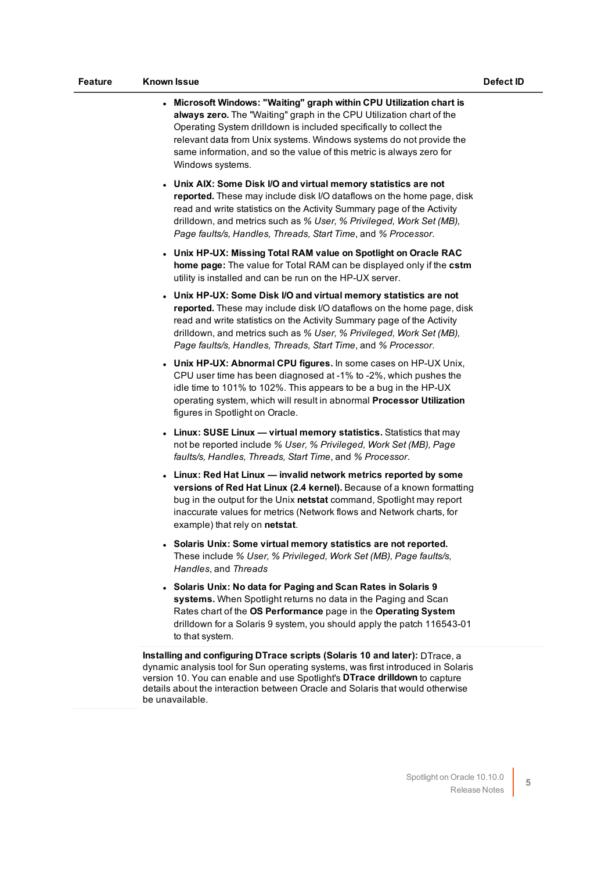| <b>Feature</b> | <b>Known Issue</b>                                                                                                                                                                                                                                                                                                                                                                    | Defect ID |
|----------------|---------------------------------------------------------------------------------------------------------------------------------------------------------------------------------------------------------------------------------------------------------------------------------------------------------------------------------------------------------------------------------------|-----------|
|                | • Microsoft Windows: "Waiting" graph within CPU Utilization chart is<br>always zero. The "Waiting" graph in the CPU Utilization chart of the<br>Operating System drilldown is included specifically to collect the<br>relevant data from Unix systems. Windows systems do not provide the<br>same information, and so the value of this metric is always zero for<br>Windows systems. |           |
|                | • Unix AIX: Some Disk I/O and virtual memory statistics are not<br>reported. These may include disk I/O dataflows on the home page, disk<br>read and write statistics on the Activity Summary page of the Activity<br>drilldown, and metrics such as % User, % Privileged, Work Set (MB),<br>Page faults/s, Handles, Threads, Start Time, and % Processor.                            |           |

- <sup>l</sup> **Unix HP-UX: Missing Total RAM value on Spotlight on Oracle RAC home page:** The value for Total RAM can be displayed only if the **cstm** utility is installed and can be run on the HP-UX server.
- <sup>l</sup> **Unix HP-UX: Some Disk I/O and virtual memory statistics are not reported.** These may include disk I/O dataflows on the home page, disk read and write statistics on the Activity Summary page of the Activity drilldown, and metrics such as *% User, % Privileged, Work Set (MB), Page faults/s, Handles, Threads, Start Time*, and *% Processor*.
- <sup>l</sup> **Unix HP-UX: Abnormal CPU figures.** In some cases on HP-UX Unix, CPU user time has been diagnosed at -1% to -2%, which pushes the idle time to 101% to 102%. This appears to be a bug in the HP-UX operating system, which will result in abnormal **Processor Utilization** figures in Spotlight on Oracle.
- <sup>l</sup> **Linux: SUSE Linux — virtual memory statistics.** Statistics that may not be reported include *% User, % Privileged, Work Set (MB), Page faults/s, Handles, Threads, Start Time*, and *% Processor*.
- <sup>l</sup> **Linux: Red Hat Linux — invalid network metrics reported by some versions of Red Hat Linux (2.4 kernel).** Because of a known formatting bug in the output for the Unix **netstat** command, Spotlight may report inaccurate values for metrics (Network flows and Network charts, for example) that rely on **netstat**.
- <sup>l</sup> **Solaris Unix: Some virtual memory statistics are not reported.** These include *% User, % Privileged, Work Set (MB), Page faults/s, Handles*, and *Threads*
- <sup>l</sup> **Solaris Unix: No data for Paging and Scan Rates in Solaris 9 systems.** When Spotlight returns no data in the Paging and Scan Rates chart of the **OS Performance** page in the **Operating System** drilldown for a Solaris 9 system, you should apply the patch 116543-01 to that system.

**Installing and configuring DTrace scripts (Solaris 10 and later):** DTrace, a dynamic analysis tool for Sun operating systems, was first introduced in Solaris version 10. You can enable and use Spotlight's **DTrace drilldown** to capture details about the interaction between Oracle and Solaris that would otherwise be unavailable.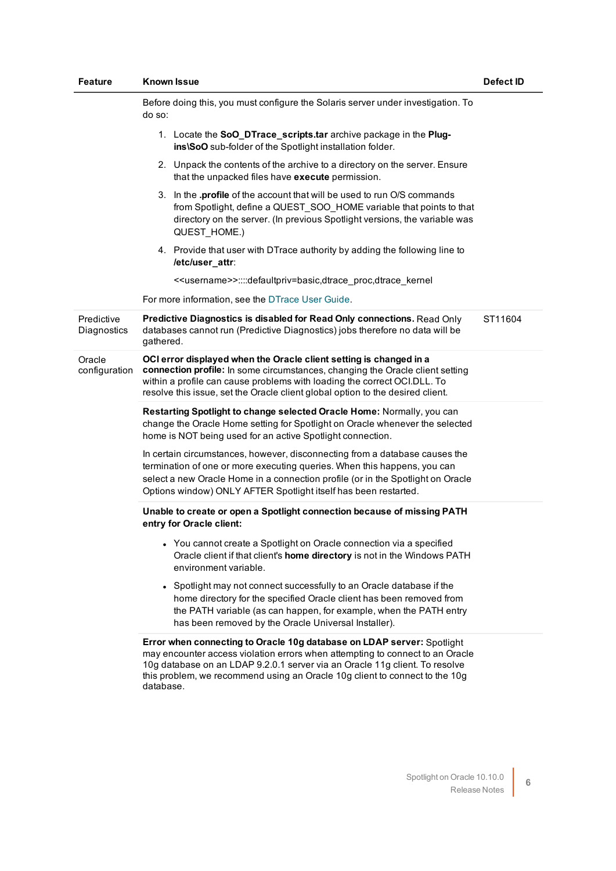| Feature                   | Known Issue                                                                                                                                                                                                                                                                                                                        | Defect ID |
|---------------------------|------------------------------------------------------------------------------------------------------------------------------------------------------------------------------------------------------------------------------------------------------------------------------------------------------------------------------------|-----------|
|                           | Before doing this, you must configure the Solaris server under investigation. To<br>do so:                                                                                                                                                                                                                                         |           |
|                           | 1. Locate the SoO_DTrace_scripts.tar archive package in the Plug-<br>ins\SoO sub-folder of the Spotlight installation folder.                                                                                                                                                                                                      |           |
|                           | 2. Unpack the contents of the archive to a directory on the server. Ensure<br>that the unpacked files have execute permission.                                                                                                                                                                                                     |           |
|                           | 3. In the <b>profile</b> of the account that will be used to run O/S commands<br>from Spotlight, define a QUEST_SOO_HOME variable that points to that<br>directory on the server. (In previous Spotlight versions, the variable was<br>QUEST_HOME.)                                                                                |           |
|                           | 4. Provide that user with DTrace authority by adding the following line to<br>/etc/user_attr:                                                                                                                                                                                                                                      |           |
|                           | < <username>&gt;::::defaultpriv=basic,dtrace proc,dtrace kernel</username>                                                                                                                                                                                                                                                         |           |
|                           | For more information, see the DTrace User Guide.                                                                                                                                                                                                                                                                                   |           |
| Predictive<br>Diagnostics | Predictive Diagnostics is disabled for Read Only connections. Read Only<br>databases cannot run (Predictive Diagnostics) jobs therefore no data will be<br>gathered.                                                                                                                                                               | ST11604   |
| Oracle<br>configuration   | OCI error displayed when the Oracle client setting is changed in a<br>connection profile: In some circumstances, changing the Oracle client setting<br>within a profile can cause problems with loading the correct OCI.DLL. To<br>resolve this issue, set the Oracle client global option to the desired client.                  |           |
|                           | Restarting Spotlight to change selected Oracle Home: Normally, you can<br>change the Oracle Home setting for Spotlight on Oracle whenever the selected<br>home is NOT being used for an active Spotlight connection.                                                                                                               |           |
|                           | In certain circumstances, however, disconnecting from a database causes the<br>termination of one or more executing queries. When this happens, you can<br>select a new Oracle Home in a connection profile (or in the Spotlight on Oracle<br>Options window) ONLY AFTER Spotlight itself has been restarted.                      |           |
|                           | Unable to create or open a Spotlight connection because of missing PATH<br>entry for Oracle client:                                                                                                                                                                                                                                |           |
|                           | • You cannot create a Spotlight on Oracle connection via a specified<br>Oracle client if that client's home directory is not in the Windows PATH<br>environment variable.                                                                                                                                                          |           |
|                           | • Spotlight may not connect successfully to an Oracle database if the<br>home directory for the specified Oracle client has been removed from<br>the PATH variable (as can happen, for example, when the PATH entry<br>has been removed by the Oracle Universal Installer).                                                        |           |
|                           | Error when connecting to Oracle 10g database on LDAP server: Spotlight<br>may encounter access violation errors when attempting to connect to an Oracle<br>10g database on an LDAP 9.2.0.1 server via an Oracle 11g client. To resolve<br>this problem, we recommend using an Oracle 10g client to connect to the 10g<br>database. |           |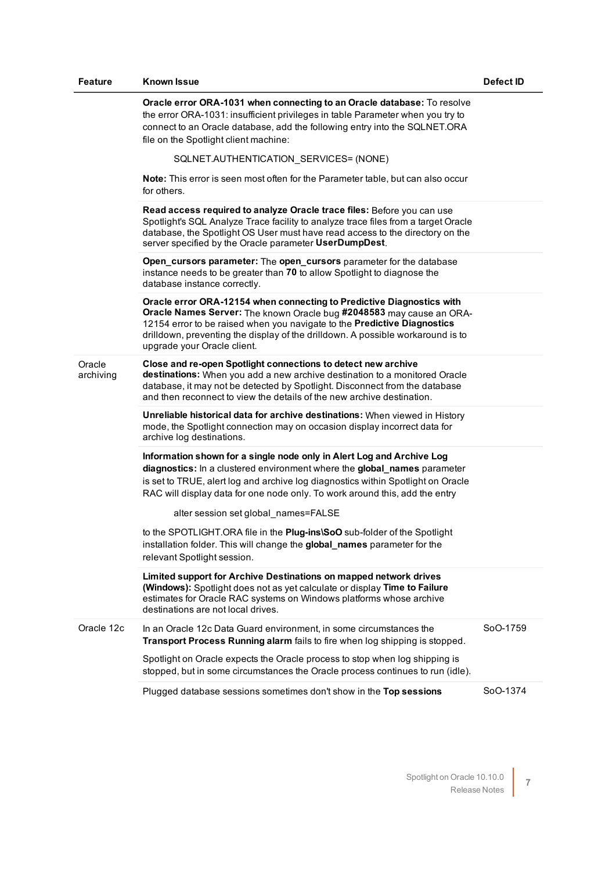| <b>Feature</b>      | Known Issue                                                                                                                                                                                                                                                                                                                                                  | Defect ID |
|---------------------|--------------------------------------------------------------------------------------------------------------------------------------------------------------------------------------------------------------------------------------------------------------------------------------------------------------------------------------------------------------|-----------|
|                     | Oracle error ORA-1031 when connecting to an Oracle database: To resolve<br>the error ORA-1031: insufficient privileges in table Parameter when you try to<br>connect to an Oracle database, add the following entry into the SQLNET.ORA<br>file on the Spotlight client machine:                                                                             |           |
|                     | SQLNET.AUTHENTICATION_SERVICES= (NONE)                                                                                                                                                                                                                                                                                                                       |           |
|                     | <b>Note:</b> This error is seen most often for the Parameter table, but can also occur<br>for others.                                                                                                                                                                                                                                                        |           |
|                     | Read access required to analyze Oracle trace files: Before you can use<br>Spotlight's SQL Analyze Trace facility to analyze trace files from a target Oracle<br>database, the Spotlight OS User must have read access to the directory on the<br>server specified by the Oracle parameter UserDumpDest.                                                      |           |
|                     | Open_cursors parameter: The open_cursors parameter for the database<br>instance needs to be greater than 70 to allow Spotlight to diagnose the<br>database instance correctly.                                                                                                                                                                               |           |
|                     | Oracle error ORA-12154 when connecting to Predictive Diagnostics with<br>Oracle Names Server: The known Oracle bug #2048583 may cause an ORA-<br>12154 error to be raised when you navigate to the Predictive Diagnostics<br>drilldown, preventing the display of the drilldown. A possible workaround is to<br>upgrade your Oracle client.                  |           |
| Oracle<br>archiving | Close and re-open Spotlight connections to detect new archive<br>destinations: When you add a new archive destination to a monitored Oracle<br>database, it may not be detected by Spotlight. Disconnect from the database<br>and then reconnect to view the details of the new archive destination.                                                         |           |
|                     | Unreliable historical data for archive destinations: When viewed in History<br>mode, the Spotlight connection may on occasion display incorrect data for<br>archive log destinations.                                                                                                                                                                        |           |
|                     | Information shown for a single node only in Alert Log and Archive Log<br>diagnostics: In a clustered environment where the global_names parameter<br>is set to TRUE, alert log and archive log diagnostics within Spotlight on Oracle<br>RAC will display data for one node only. To work around this, add the entry<br>alter session set global_names=FALSE |           |
|                     | to the SPOTLIGHT.ORA file in the Plug-ins\SoO sub-folder of the Spotlight<br>installation folder. This will change the global_names parameter for the<br>relevant Spotlight session.                                                                                                                                                                         |           |
|                     | Limited support for Archive Destinations on mapped network drives<br>(Windows): Spotlight does not as yet calculate or display Time to Failure<br>estimates for Oracle RAC systems on Windows platforms whose archive<br>destinations are not local drives.                                                                                                  |           |
| Oracle 12c          | In an Oracle 12c Data Guard environment, in some circumstances the<br>Transport Process Running alarm fails to fire when log shipping is stopped.                                                                                                                                                                                                            | SoO-1759  |
|                     | Spotlight on Oracle expects the Oracle process to stop when log shipping is<br>stopped, but in some circumstances the Oracle process continues to run (idle).                                                                                                                                                                                                |           |
|                     | Plugged database sessions sometimes don't show in the Top sessions                                                                                                                                                                                                                                                                                           | SoO-1374  |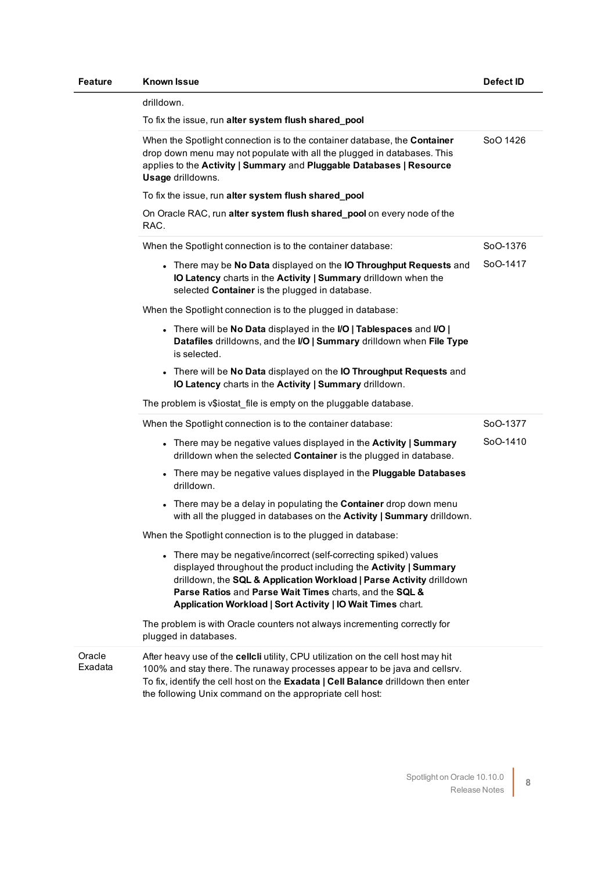| <b>Feature</b>    | <b>Known Issue</b>                                                                                                                                                                                                                                                                                                                       | Defect ID |
|-------------------|------------------------------------------------------------------------------------------------------------------------------------------------------------------------------------------------------------------------------------------------------------------------------------------------------------------------------------------|-----------|
|                   | drilldown.                                                                                                                                                                                                                                                                                                                               |           |
|                   | To fix the issue, run alter system flush shared_pool                                                                                                                                                                                                                                                                                     |           |
|                   | When the Spotlight connection is to the container database, the Container<br>drop down menu may not populate with all the plugged in databases. This<br>applies to the Activity   Summary and Pluggable Databases   Resource<br>Usage drilldowns.                                                                                        | SoO 1426  |
|                   | To fix the issue, run alter system flush shared_pool                                                                                                                                                                                                                                                                                     |           |
|                   | On Oracle RAC, run alter system flush shared_pool on every node of the<br>RAC.                                                                                                                                                                                                                                                           |           |
|                   | When the Spotlight connection is to the container database:                                                                                                                                                                                                                                                                              | SoO-1376  |
|                   | • There may be No Data displayed on the IO Throughput Requests and<br>IO Latency charts in the Activity   Summary drilldown when the<br>selected Container is the plugged in database.                                                                                                                                                   | SoO-1417  |
|                   | When the Spotlight connection is to the plugged in database:                                                                                                                                                                                                                                                                             |           |
|                   | . There will be No Data displayed in the I/O   Tablespaces and I/O  <br>Datafiles drilldowns, and the I/O   Summary drilldown when File Type<br>is selected.                                                                                                                                                                             |           |
|                   | • There will be No Data displayed on the IO Throughput Requests and<br>IO Latency charts in the Activity   Summary drilldown.                                                                                                                                                                                                            |           |
|                   | The problem is v\$iostat_file is empty on the pluggable database.                                                                                                                                                                                                                                                                        |           |
|                   | When the Spotlight connection is to the container database:                                                                                                                                                                                                                                                                              | SoO-1377  |
|                   | • There may be negative values displayed in the Activity   Summary<br>drilldown when the selected Container is the plugged in database.                                                                                                                                                                                                  | SoO-1410  |
|                   | • There may be negative values displayed in the Pluggable Databases<br>drilldown.                                                                                                                                                                                                                                                        |           |
|                   | • There may be a delay in populating the Container drop down menu<br>with all the plugged in databases on the Activity   Summary drilldown.                                                                                                                                                                                              |           |
|                   | When the Spotlight connection is to the plugged in database:                                                                                                                                                                                                                                                                             |           |
|                   | • There may be negative/incorrect (self-correcting spiked) values<br>displayed throughout the product including the Activity   Summary<br>drilldown, the SQL & Application Workload   Parse Activity drilldown<br>Parse Ratios and Parse Wait Times charts, and the SQL &<br>Application Workload   Sort Activity   IO Wait Times chart. |           |
|                   | The problem is with Oracle counters not always incrementing correctly for<br>plugged in databases.                                                                                                                                                                                                                                       |           |
| Oracle<br>Exadata | After heavy use of the cellcli utility, CPU utilization on the cell host may hit<br>100% and stay there. The runaway processes appear to be java and cellsrv.<br>To fix, identify the cell host on the Exadata   Cell Balance drilldown then enter<br>the following Unix command on the appropriate cell host:                           |           |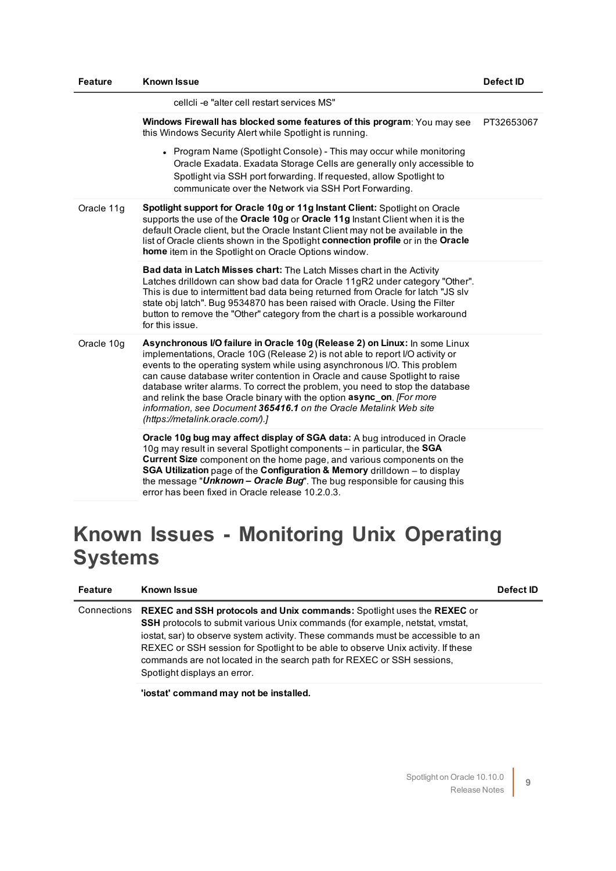| <b>Feature</b> | <b>Known Issue</b>                                                                                                                                                                                                                                                                                                                                                                                                                                                                                                                                                                          | Defect ID  |
|----------------|---------------------------------------------------------------------------------------------------------------------------------------------------------------------------------------------------------------------------------------------------------------------------------------------------------------------------------------------------------------------------------------------------------------------------------------------------------------------------------------------------------------------------------------------------------------------------------------------|------------|
|                | cellcli-e "alter cell restart services MS"                                                                                                                                                                                                                                                                                                                                                                                                                                                                                                                                                  |            |
|                | Windows Firewall has blocked some features of this program: You may see<br>this Windows Security Alert while Spotlight is running.                                                                                                                                                                                                                                                                                                                                                                                                                                                          | PT32653067 |
|                | • Program Name (Spotlight Console) - This may occur while monitoring<br>Oracle Exadata. Exadata Storage Cells are generally only accessible to<br>Spotlight via SSH port forwarding. If requested, allow Spotlight to<br>communicate over the Network via SSH Port Forwarding.                                                                                                                                                                                                                                                                                                              |            |
| Oracle 11g     | Spotlight support for Oracle 10g or 11g Instant Client: Spotlight on Oracle<br>supports the use of the Oracle 10g or Oracle 11g Instant Client when it is the<br>default Oracle client, but the Oracle Instant Client may not be available in the<br>list of Oracle clients shown in the Spotlight connection profile or in the Oracle<br>home item in the Spotlight on Oracle Options window.                                                                                                                                                                                              |            |
|                | Bad data in Latch Misses chart: The Latch Misses chart in the Activity<br>Latches drilldown can show bad data for Oracle 11gR2 under category "Other".<br>This is due to intermittent bad data being returned from Oracle for latch "JS slv<br>state obj latch". Bug 9534870 has been raised with Oracle. Using the Filter<br>button to remove the "Other" category from the chart is a possible workaround<br>for this issue.                                                                                                                                                              |            |
| Oracle 10g     | Asynchronous I/O failure in Oracle 10g (Release 2) on Linux: In some Linux<br>implementations, Oracle 10G (Release 2) is not able to report I/O activity or<br>events to the operating system while using asynchronous I/O. This problem<br>can cause database writer contention in Oracle and cause Spotlight to raise<br>database writer alarms. To correct the problem, you need to stop the database<br>and relink the base Oracle binary with the option async_on. [For more<br>information, see Document 365416.1 on the Oracle Metalink Web site<br>(https://metalink.oracle.com/).] |            |
|                | <b>Oracle 10g bug may affect display of SGA data:</b> A bug introduced in Oracle<br>10g may result in several Spotlight components - in particular, the SGA<br>Current Size component on the home page, and various components on the<br>SGA Utilization page of the Configuration & Memory drilldown - to display<br>the message "Unknown - Oracle Bug". The bug responsible for causing this<br>error has been fixed in Oracle release 10.2.0.3.                                                                                                                                          |            |

### **Known Issues - Monitoring Unix Operating Systems**

| <b>Feature</b> | <b>Known Issue</b>                                                                                                                                                                                                                                                                                                                                                                                                                                     | Defect ID |
|----------------|--------------------------------------------------------------------------------------------------------------------------------------------------------------------------------------------------------------------------------------------------------------------------------------------------------------------------------------------------------------------------------------------------------------------------------------------------------|-----------|
| Connections    | <b>REXEC and SSH protocols and Unix commands: Spotlight uses the REXEC or</b><br><b>SSH</b> protocols to submit various Unix commands (for example, netstat, vmstat,<br>iostat, sar) to observe system activity. These commands must be accessible to an<br>REXEC or SSH session for Spotlight to be able to observe Unix activity. If these<br>commands are not located in the search path for REXEC or SSH sessions,<br>Spotlight displays an error. |           |

**'iostat' command may not be installed.**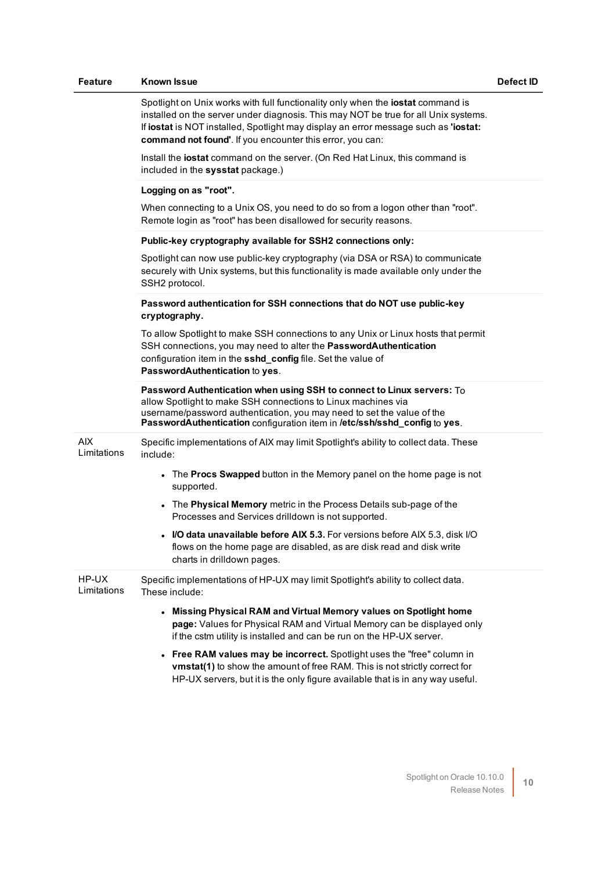| <b>Feature</b>       | Known Issue                                                                                                                                                                                                                                                                                                                | Defect ID |
|----------------------|----------------------------------------------------------------------------------------------------------------------------------------------------------------------------------------------------------------------------------------------------------------------------------------------------------------------------|-----------|
|                      | Spotlight on Unix works with full functionality only when the iostat command is<br>installed on the server under diagnosis. This may NOT be true for all Unix systems.<br>If iostat is NOT installed, Spotlight may display an error message such as 'iostat:<br>command not found'. If you encounter this error, you can: |           |
|                      | Install the iostat command on the server. (On Red Hat Linux, this command is<br>included in the sysstat package.)                                                                                                                                                                                                          |           |
|                      | Logging on as "root".                                                                                                                                                                                                                                                                                                      |           |
|                      | When connecting to a Unix OS, you need to do so from a logon other than "root".<br>Remote login as "root" has been disallowed for security reasons.                                                                                                                                                                        |           |
|                      | Public-key cryptography available for SSH2 connections only:                                                                                                                                                                                                                                                               |           |
|                      | Spotlight can now use public-key cryptography (via DSA or RSA) to communicate<br>securely with Unix systems, but this functionality is made available only under the<br>SSH2 protocol.                                                                                                                                     |           |
|                      | Password authentication for SSH connections that do NOT use public-key<br>cryptography.                                                                                                                                                                                                                                    |           |
|                      | To allow Spotlight to make SSH connections to any Unix or Linux hosts that permit<br>SSH connections, you may need to alter the PasswordAuthentication<br>configuration item in the sshd_config file. Set the value of<br>PasswordAuthentication to yes.                                                                   |           |
|                      | Password Authentication when using SSH to connect to Linux servers: To<br>allow Spotlight to make SSH connections to Linux machines via<br>username/password authentication, you may need to set the value of the<br>PasswordAuthentication configuration item in /etc/ssh/sshd_config to yes.                             |           |
| AIX.<br>Limitations  | Specific implementations of AIX may limit Spotlight's ability to collect data. These<br>include:                                                                                                                                                                                                                           |           |
|                      | • The Procs Swapped button in the Memory panel on the home page is not<br>supported.                                                                                                                                                                                                                                       |           |
|                      | • The Physical Memory metric in the Process Details sub-page of the<br>Processes and Services drilldown is not supported.                                                                                                                                                                                                  |           |
|                      | I/O data unavailable before AIX 5.3. For versions before AIX 5.3, disk I/O<br>flows on the home page are disabled, as are disk read and disk write<br>charts in drilldown pages.                                                                                                                                           |           |
| HP-UX<br>Limitations | Specific implementations of HP-UX may limit Spotlight's ability to collect data.<br>These include:                                                                                                                                                                                                                         |           |
|                      | • Missing Physical RAM and Virtual Memory values on Spotlight home<br>page: Values for Physical RAM and Virtual Memory can be displayed only<br>if the cstm utility is installed and can be run on the HP-UX server.                                                                                                       |           |
|                      | • Free RAM values may be incorrect. Spotlight uses the "free" column in<br>vmstat(1) to show the amount of free RAM. This is not strictly correct for<br>HP-UX servers, but it is the only figure available that is in any way useful.                                                                                     |           |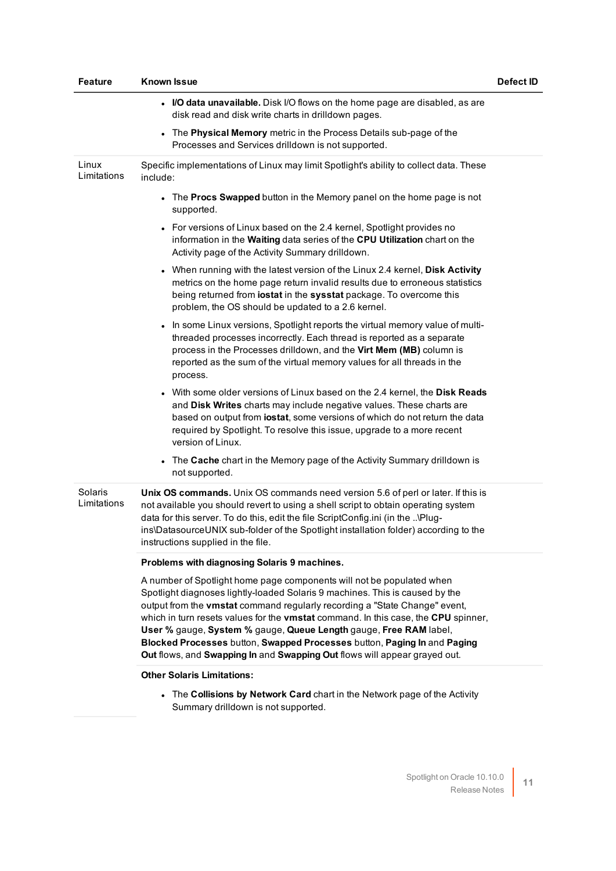| <b>Feature</b>         | <b>Known Issue</b>                                                                                                                                                                                                                                                                                                                                                                                                                                                                                                                                      | Defect ID |
|------------------------|---------------------------------------------------------------------------------------------------------------------------------------------------------------------------------------------------------------------------------------------------------------------------------------------------------------------------------------------------------------------------------------------------------------------------------------------------------------------------------------------------------------------------------------------------------|-----------|
|                        | • I/O data unavailable. Disk I/O flows on the home page are disabled, as are<br>disk read and disk write charts in drilldown pages.                                                                                                                                                                                                                                                                                                                                                                                                                     |           |
|                        | The Physical Memory metric in the Process Details sub-page of the<br>Processes and Services drilldown is not supported.                                                                                                                                                                                                                                                                                                                                                                                                                                 |           |
| Linux<br>Limitations   | Specific implementations of Linux may limit Spotlight's ability to collect data. These<br>include:                                                                                                                                                                                                                                                                                                                                                                                                                                                      |           |
|                        | • The Procs Swapped button in the Memory panel on the home page is not<br>supported.                                                                                                                                                                                                                                                                                                                                                                                                                                                                    |           |
|                        | • For versions of Linux based on the 2.4 kernel, Spotlight provides no<br>information in the Waiting data series of the CPU Utilization chart on the<br>Activity page of the Activity Summary drilldown.                                                                                                                                                                                                                                                                                                                                                |           |
|                        | • When running with the latest version of the Linux 2.4 kernel, Disk Activity<br>metrics on the home page return invalid results due to erroneous statistics<br>being returned from iostat in the sysstat package. To overcome this<br>problem, the OS should be updated to a 2.6 kernel.                                                                                                                                                                                                                                                               |           |
|                        | In some Linux versions, Spotlight reports the virtual memory value of multi-<br>threaded processes incorrectly. Each thread is reported as a separate<br>process in the Processes drilldown, and the Virt Mem (MB) column is<br>reported as the sum of the virtual memory values for all threads in the<br>process.                                                                                                                                                                                                                                     |           |
|                        | . With some older versions of Linux based on the 2.4 kernel, the Disk Reads<br>and Disk Writes charts may include negative values. These charts are<br>based on output from iostat, some versions of which do not return the data<br>required by Spotlight. To resolve this issue, upgrade to a more recent<br>version of Linux.                                                                                                                                                                                                                        |           |
|                        | • The Cache chart in the Memory page of the Activity Summary drilldown is<br>not supported.                                                                                                                                                                                                                                                                                                                                                                                                                                                             |           |
| Solaris<br>Limitations | Unix OS commands. Unix OS commands need version 5.6 of perl or later. If this is<br>not available you should revert to using a shell script to obtain operating system<br>data for this server. To do this, edit the file ScriptConfig.ini (in the \Plug-<br>ins\DatasourceUNIX sub-folder of the Spotlight installation folder) according to the<br>instructions supplied in the file.                                                                                                                                                                 |           |
|                        | Problems with diagnosing Solaris 9 machines.                                                                                                                                                                                                                                                                                                                                                                                                                                                                                                            |           |
|                        | A number of Spotlight home page components will not be populated when<br>Spotlight diagnoses lightly-loaded Solaris 9 machines. This is caused by the<br>output from the vmstat command regularly recording a "State Change" event,<br>which in turn resets values for the vmstat command. In this case, the CPU spinner,<br>User % gauge, System % gauge, Queue Length gauge, Free RAM label,<br>Blocked Processes button, Swapped Processes button, Paging In and Paging<br>Out flows, and Swapping In and Swapping Out flows will appear grayed out. |           |
|                        | <b>Other Solaris Limitations:</b>                                                                                                                                                                                                                                                                                                                                                                                                                                                                                                                       |           |
|                        | The Calliniana by Naturals Card short in the Naturals nega of the Activity                                                                                                                                                                                                                                                                                                                                                                                                                                                                              |           |

<sup>l</sup> The **Collisions by Network Card** chart in the Network page of the Activity Summary drilldown is not supported.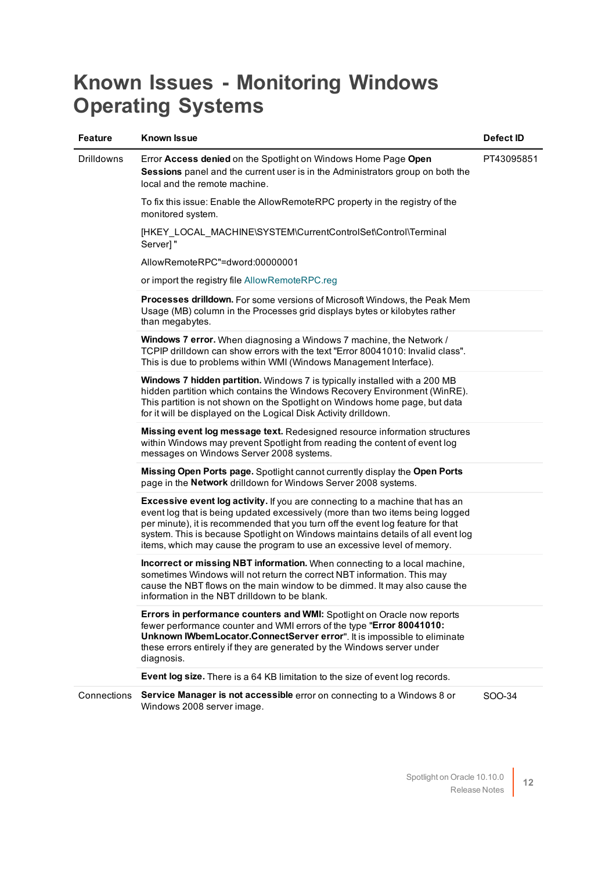### **Known Issues - Monitoring Windows Operating Systems**

| <b>Feature</b>    | Known Issue                                                                                                                                                                                                                                                                                                                                                                                                    | Defect ID  |
|-------------------|----------------------------------------------------------------------------------------------------------------------------------------------------------------------------------------------------------------------------------------------------------------------------------------------------------------------------------------------------------------------------------------------------------------|------------|
| <b>Drilldowns</b> | Error Access denied on the Spotlight on Windows Home Page Open<br><b>Sessions</b> panel and the current user is in the Administrators group on both the<br>local and the remote machine.                                                                                                                                                                                                                       | PT43095851 |
|                   | To fix this issue: Enable the AllowRemoteRPC property in the registry of the<br>monitored system.                                                                                                                                                                                                                                                                                                              |            |
|                   | [HKEY_LOCAL_MACHINE\SYSTEM\CurrentControlSet\Control\Terminal<br>Server]"                                                                                                                                                                                                                                                                                                                                      |            |
|                   | AllowRemoteRPC"=dword:00000001                                                                                                                                                                                                                                                                                                                                                                                 |            |
|                   | or import the registry file AllowRemoteRPC.reg                                                                                                                                                                                                                                                                                                                                                                 |            |
|                   | Processes drilldown. For some versions of Microsoft Windows, the Peak Mem<br>Usage (MB) column in the Processes grid displays bytes or kilobytes rather<br>than megabytes.                                                                                                                                                                                                                                     |            |
|                   | Windows 7 error. When diagnosing a Windows 7 machine, the Network /<br>TCPIP drilldown can show errors with the text "Error 80041010: Invalid class".<br>This is due to problems within WMI (Windows Management Interface).                                                                                                                                                                                    |            |
|                   | Windows 7 hidden partition. Windows 7 is typically installed with a 200 MB<br>hidden partition which contains the Windows Recovery Environment (WinRE).<br>This partition is not shown on the Spotlight on Windows home page, but data<br>for it will be displayed on the Logical Disk Activity drilldown.                                                                                                     |            |
|                   | <b>Missing event log message text.</b> Redesigned resource information structures<br>within Windows may prevent Spotlight from reading the content of event log<br>messages on Windows Server 2008 systems.                                                                                                                                                                                                    |            |
|                   | Missing Open Ports page. Spotlight cannot currently display the Open Ports<br>page in the Network drilldown for Windows Server 2008 systems.                                                                                                                                                                                                                                                                   |            |
|                   | Excessive event log activity. If you are connecting to a machine that has an<br>event log that is being updated excessively (more than two items being logged<br>per minute), it is recommended that you turn off the event log feature for that<br>system. This is because Spotlight on Windows maintains details of all event log<br>items, which may cause the program to use an excessive level of memory. |            |
|                   | Incorrect or missing NBT information. When connecting to a local machine,<br>sometimes Windows will not return the correct NBT information. This may<br>cause the NBT flows on the main window to be dimmed. It may also cause the<br>information in the NBT drilldown to be blank.                                                                                                                            |            |
|                   | Errors in performance counters and WMI: Spotlight on Oracle now reports<br>fewer performance counter and WMI errors of the type "Error 80041010:<br>Unknown IWbemLocator.ConnectServer error". It is impossible to eliminate<br>these errors entirely if they are generated by the Windows server under<br>diagnosis.                                                                                          |            |
|                   | Event log size. There is a 64 KB limitation to the size of event log records.                                                                                                                                                                                                                                                                                                                                  |            |
| Connections       | Service Manager is not accessible error on connecting to a Windows 8 or<br>Windows 2008 server image.                                                                                                                                                                                                                                                                                                          | SOO-34     |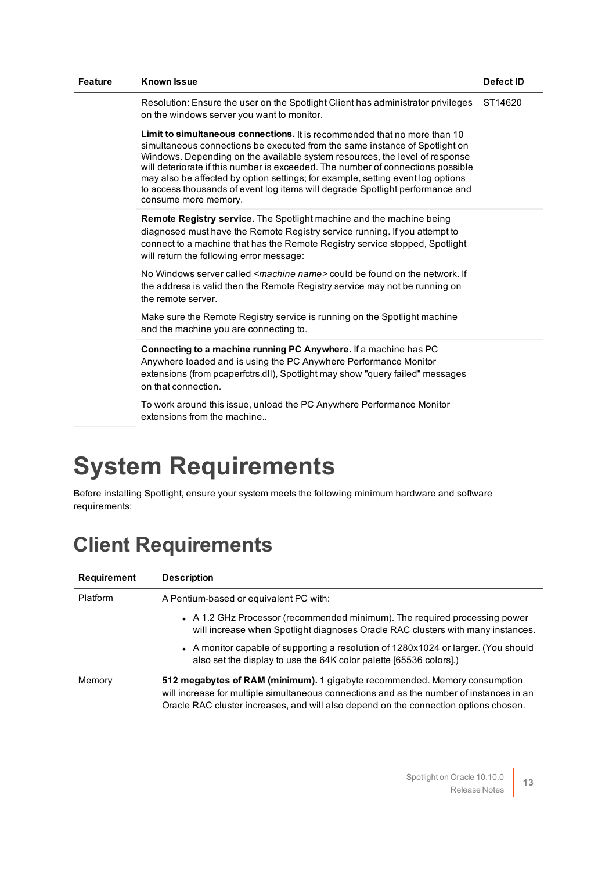| <b>Feature</b> | <b>Known Issue</b>                                                                                                                                                                                                                                                                                                                                                                                                                                                                                                     | <b>Defect ID</b> |
|----------------|------------------------------------------------------------------------------------------------------------------------------------------------------------------------------------------------------------------------------------------------------------------------------------------------------------------------------------------------------------------------------------------------------------------------------------------------------------------------------------------------------------------------|------------------|
|                | Resolution: Ensure the user on the Spotlight Client has administrator privileges<br>on the windows server you want to monitor.                                                                                                                                                                                                                                                                                                                                                                                         | ST14620          |
|                | Limit to simultaneous connections. It is recommended that no more than 10<br>simultaneous connections be executed from the same instance of Spotlight on<br>Windows. Depending on the available system resources, the level of response<br>will deteriorate if this number is exceeded. The number of connections possible<br>may also be affected by option settings; for example, setting event log options<br>to access thousands of event log items will degrade Spotlight performance and<br>consume more memory. |                  |
|                | <b>Remote Registry service.</b> The Spotlight machine and the machine being<br>diagnosed must have the Remote Registry service running. If you attempt to<br>connect to a machine that has the Remote Registry service stopped, Spotlight<br>will return the following error message:                                                                                                                                                                                                                                  |                  |
|                | No Windows server called <i><machine name=""></machine></i> could be found on the network. If<br>the address is valid then the Remote Registry service may not be running on<br>the remote server.                                                                                                                                                                                                                                                                                                                     |                  |
|                | Make sure the Remote Registry service is running on the Spotlight machine<br>and the machine you are connecting to.                                                                                                                                                                                                                                                                                                                                                                                                    |                  |
|                | Connecting to a machine running PC Anywhere. If a machine has PC<br>Anywhere loaded and is using the PC Anywhere Performance Monitor<br>extensions (from pcaperfctrs.dll), Spotlight may show "query failed" messages<br>on that connection.                                                                                                                                                                                                                                                                           |                  |
|                | To work around this issue, unload the PC Anywhere Performance Monitor<br>extensions from the machine                                                                                                                                                                                                                                                                                                                                                                                                                   |                  |
|                | <b>System Requirements</b>                                                                                                                                                                                                                                                                                                                                                                                                                                                                                             |                  |

<span id="page-12-0"></span>Before installing Spotlight, ensure your system meets the following minimum hardware and software requirements:

### **Client Requirements**

| Requirement | <b>Description</b>                                                                                                                                                                                                                                             |
|-------------|----------------------------------------------------------------------------------------------------------------------------------------------------------------------------------------------------------------------------------------------------------------|
| Platform    | A Pentium-based or equivalent PC with:                                                                                                                                                                                                                         |
|             | • A 1.2 GHz Processor (recommended minimum). The required processing power<br>will increase when Spotlight diagnoses Oracle RAC clusters with many instances.                                                                                                  |
|             | • A monitor capable of supporting a resolution of 1280x1024 or larger. (You should<br>also set the display to use the 64K color palette [65536 colors].)                                                                                                       |
| Memory      | 512 megabytes of RAM (minimum). 1 gigabyte recommended. Memory consumption<br>will increase for multiple simultaneous connections and as the number of instances in an<br>Oracle RAC cluster increases, and will also depend on the connection options chosen. |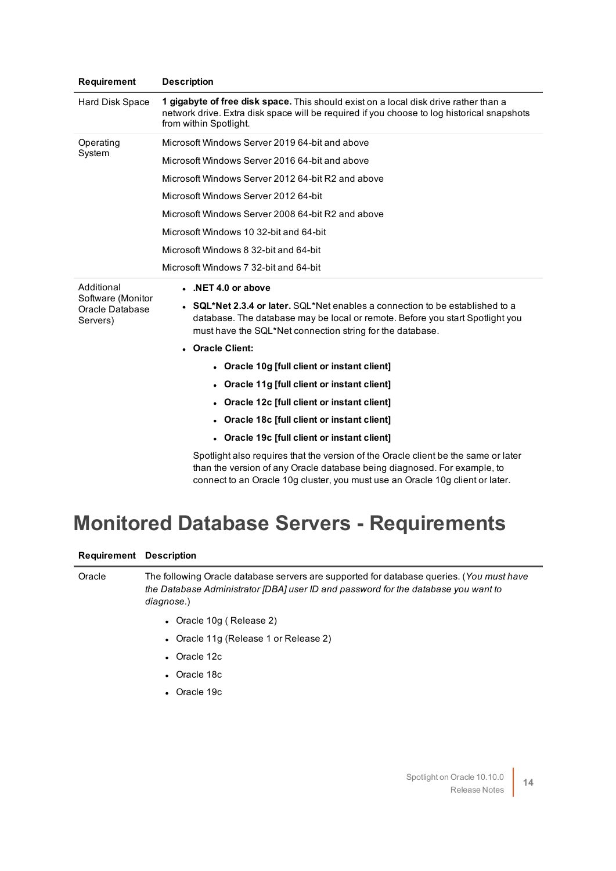| Requirement                                                    | <b>Description</b>                                                                                                                                                                                                              |
|----------------------------------------------------------------|---------------------------------------------------------------------------------------------------------------------------------------------------------------------------------------------------------------------------------|
| Hard Disk Space                                                | 1 gigabyte of free disk space. This should exist on a local disk drive rather than a<br>network drive. Extra disk space will be required if you choose to log historical snapshots<br>from within Spotlight.                    |
| Operating<br>System                                            | Microsoft Windows Server 2019 64-bit and above                                                                                                                                                                                  |
|                                                                | Microsoft Windows Server 2016 64-bit and above                                                                                                                                                                                  |
|                                                                | Microsoft Windows Server 2012 64-bit R2 and above                                                                                                                                                                               |
|                                                                | Microsoft Windows Server 2012 64-bit                                                                                                                                                                                            |
|                                                                | Microsoft Windows Server 2008 64-bit R2 and above                                                                                                                                                                               |
|                                                                | Microsoft Windows 10 32-bit and 64-bit                                                                                                                                                                                          |
|                                                                | Microsoft Windows 8 32-bit and 64-bit                                                                                                                                                                                           |
|                                                                | Microsoft Windows 7 32-bit and 64-bit                                                                                                                                                                                           |
| Additional<br>Software (Monitor<br>Oracle Database<br>Servers) | $\bullet$ .NET 4.0 or above                                                                                                                                                                                                     |
|                                                                | • $SQL*Net 2.3.4$ or later, $SQL*Net$ enables a connection to be established to a<br>database. The database may be local or remote. Before you start Spotlight you<br>must have the SQL*Net connection string for the database. |
|                                                                | • Oracle Client:                                                                                                                                                                                                                |
|                                                                | • Oracle 10g [full client or instant client]                                                                                                                                                                                    |
|                                                                | • Oracle 11g [full client or instant client]                                                                                                                                                                                    |
|                                                                | • Oracle 12c [full client or instant client]                                                                                                                                                                                    |
|                                                                | • Oracle 18c [full client or instant client]                                                                                                                                                                                    |
|                                                                | • Oracle 19c [full client or instant client]                                                                                                                                                                                    |
|                                                                | Spotlight also requires that the version of the Oracle client be the same or later<br>than the version of any Oracle database being diagnosed. For example, to                                                                  |

connect to an Oracle 10g cluster, you must use an Oracle 10g client or later.

### **Monitored Database Servers - Requirements**

#### **Requirement Description**

Oracle The following Oracle database servers are supported for database queries. (*You must have the Database Administrator [DBA] user ID and password for the database you want to diagnose.*)

- Oracle 10g (Release 2)
- Oracle 11g (Release 1 or Release 2)
- Oracle 12c
- Oracle 18c
- Oracle 19c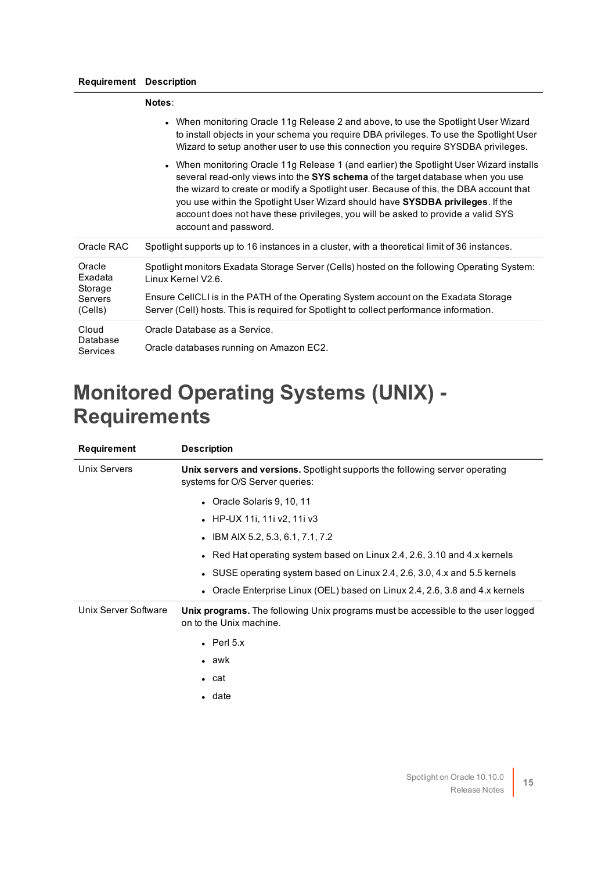#### **Requirement Description**

|                                                           | Notes:                                                                                                                                                                                                                                                                                                                                                                                                                                                              |
|-----------------------------------------------------------|---------------------------------------------------------------------------------------------------------------------------------------------------------------------------------------------------------------------------------------------------------------------------------------------------------------------------------------------------------------------------------------------------------------------------------------------------------------------|
|                                                           | • When monitoring Oracle 11g Release 2 and above, to use the Spotlight User Wizard<br>to install objects in your schema you require DBA privileges. To use the Spotlight User<br>Wizard to setup another user to use this connection you require SYSDBA privileges.                                                                                                                                                                                                 |
|                                                           | • When monitoring Oracle 11g Release 1 (and earlier) the Spotlight User Wizard installs<br>several read-only views into the SYS schema of the target database when you use<br>the wizard to create or modify a Spotlight user. Because of this, the DBA account that<br>you use within the Spotlight User Wizard should have SYSDBA privileges. If the<br>account does not have these privileges, you will be asked to provide a valid SYS<br>account and password. |
| Oracle RAC                                                | Spotlight supports up to 16 instances in a cluster, with a theoretical limit of 36 instances.                                                                                                                                                                                                                                                                                                                                                                       |
| Oracle<br>Exadata<br>Storage<br><b>Servers</b><br>(Cells) | Spotlight monitors Exadata Storage Server (Cells) hosted on the following Operating System:<br>Linux Kernel V2.6.                                                                                                                                                                                                                                                                                                                                                   |
|                                                           | Ensure CellCLI is in the PATH of the Operating System account on the Exadata Storage<br>Server (Cell) hosts. This is required for Spotlight to collect performance information.                                                                                                                                                                                                                                                                                     |
| Cloud                                                     | Oracle Database as a Service.                                                                                                                                                                                                                                                                                                                                                                                                                                       |
| Database<br>Services                                      | Oracle databases running on Amazon EC2.                                                                                                                                                                                                                                                                                                                                                                                                                             |

### **Monitored Operating Systems (UNIX) - Requirements**

| Requirement                                                                                                                                | <b>Description</b>                                                                                                     |
|--------------------------------------------------------------------------------------------------------------------------------------------|------------------------------------------------------------------------------------------------------------------------|
| Unix Servers                                                                                                                               | <b>Unix servers and versions.</b> Spotlight supports the following server operating<br>systems for O/S Server queries: |
|                                                                                                                                            | • Oracle Solaris 9, 10, 11                                                                                             |
|                                                                                                                                            | • HP-UX 11i, 11i v2, 11i v3                                                                                            |
|                                                                                                                                            | • IBM AIX 5.2, 5.3, 6.1, 7.1, 7.2                                                                                      |
|                                                                                                                                            | • Red Hat operating system based on Linux 2.4, 2.6, 3.10 and 4.x kernels                                               |
|                                                                                                                                            | • SUSE operating system based on Linux 2.4, 2.6, 3.0, 4.x and 5.5 kernels                                              |
|                                                                                                                                            | Oracle Enterprise Linux (OEL) based on Linux 2.4, 2.6, 3.8 and 4.x kernels                                             |
| Unix Server Software<br><b>Unix programs.</b> The following Unix programs must be accessible to the user logged<br>on to the Unix machine. |                                                                                                                        |
|                                                                                                                                            | $\bullet$ Perl 5.x                                                                                                     |
|                                                                                                                                            | $\bullet$ awk                                                                                                          |
|                                                                                                                                            | $\bullet$ cat                                                                                                          |
|                                                                                                                                            | $\bullet$ date                                                                                                         |
|                                                                                                                                            |                                                                                                                        |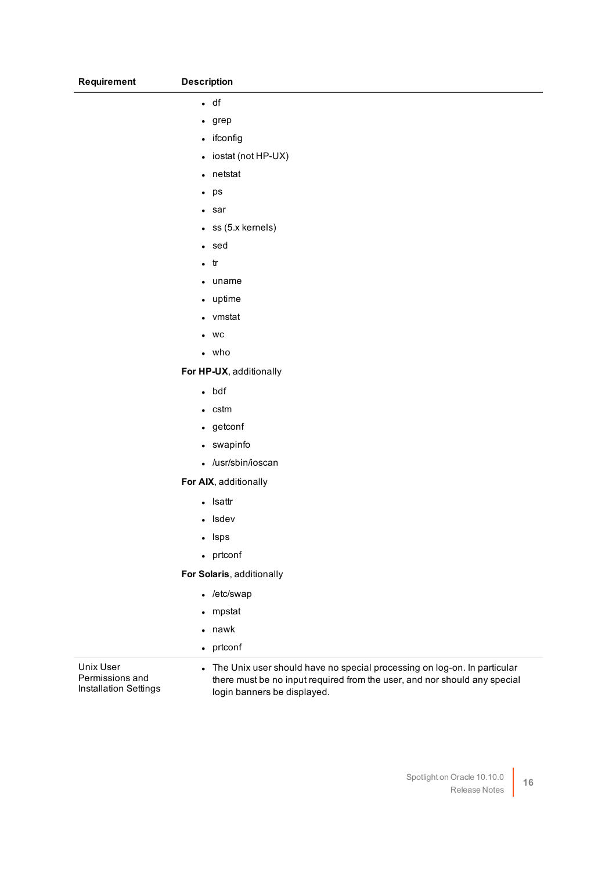| <b>Requirement</b> | <b>Description</b> |
|--------------------|--------------------|
|                    |                    |

#### $\cdot$  df

 $\cdot$  grep

• ifconfig

 $\bullet$  iostat (not HP-UX)

• netstat

 $\cdot$  ps

 $\cdot$  sar

 $\cdot$  ss (5.x kernels)

<sup>l</sup> sed

 $\cdot$  tr

 $\bullet$  uname

• uptime

• vmstat

 $\bullet$  WC

 $\cdot$  who

**For HP-UX**, additionally

• bdf

 $\cdot$  cstm

• getconf

• swapinfo

• /usr/sbin/ioscan

**For AIX**, additionally

• Isattr

• Isdev

• Isps

• prtconf

**For Solaris**, additionally

 $\cdot$  /etc/swap

• mpstat

 $\bullet$  nawk

• prtconf

Unix User Permissions and Installation Settings • The Unix user should have no special processing on log-on. In particular there must be no input required from the user, and nor should any special login banners be displayed.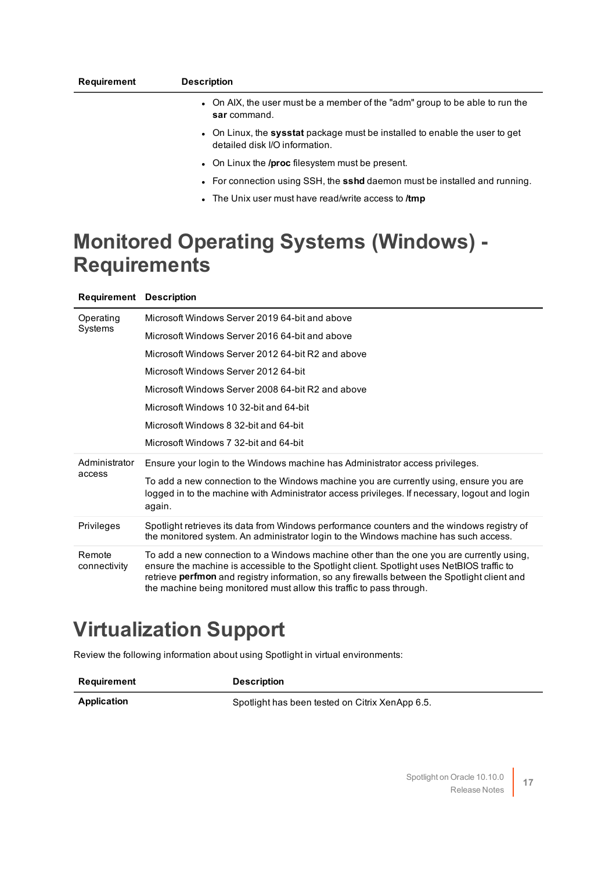| Requirement | <b>Description</b>                                                                                            |
|-------------|---------------------------------------------------------------------------------------------------------------|
|             | • On AIX, the user must be a member of the "adm" group to be able to run the<br>sar command.                  |
|             | • On Linux, the sysstat package must be installed to enable the user to get<br>detailed disk I/O information. |
|             | $\bullet$ On Linux the <b>/proc</b> filesystem must be present.                                               |

- **For connection using SSH, the sshd daemon must be installed and running.**
- **.** The Unix user must have read/write access to /tmp

### **Monitored Operating Systems (Windows) - Requirements**

| <b>Requirement Description</b> |                                                                                                                                                                                                                                                                                                                                                                 |
|--------------------------------|-----------------------------------------------------------------------------------------------------------------------------------------------------------------------------------------------------------------------------------------------------------------------------------------------------------------------------------------------------------------|
| Operating                      | Microsoft Windows Server 2019 64-bit and above                                                                                                                                                                                                                                                                                                                  |
| Systems                        | Microsoft Windows Server 2016 64-bit and above                                                                                                                                                                                                                                                                                                                  |
|                                | Microsoft Windows Server 2012 64-bit R2 and above                                                                                                                                                                                                                                                                                                               |
|                                | Microsoft Windows Server 2012 64-bit                                                                                                                                                                                                                                                                                                                            |
|                                | Microsoft Windows Server 2008 64-bit R2 and above                                                                                                                                                                                                                                                                                                               |
|                                | Microsoft Windows 10 32-bit and 64-bit                                                                                                                                                                                                                                                                                                                          |
|                                | Microsoft Windows 8 32-bit and 64-bit                                                                                                                                                                                                                                                                                                                           |
|                                | Microsoft Windows 7 32-bit and 64-bit                                                                                                                                                                                                                                                                                                                           |
| Administrator                  | Ensure your login to the Windows machine has Administrator access privileges.                                                                                                                                                                                                                                                                                   |
| access                         | To add a new connection to the Windows machine you are currently using, ensure you are<br>logged in to the machine with Administrator access privileges. If necessary, logout and login<br>again.                                                                                                                                                               |
| <b>Privileges</b>              | Spotlight retrieves its data from Windows performance counters and the windows registry of<br>the monitored system. An administrator login to the Windows machine has such access.                                                                                                                                                                              |
| Remote<br>connectivity         | To add a new connection to a Windows machine other than the one you are currently using,<br>ensure the machine is accessible to the Spotlight client. Spotlight uses NetBIOS traffic to<br>retrieve perfmon and registry information, so any firewalls between the Spotlight client and<br>the machine being monitored must allow this traffic to pass through. |

### **Virtualization Support**

Review the following information about using Spotlight in virtual environments:

**Requirement Description**

Application **Application** Spotlight has been tested on Citrix XenApp 6.5.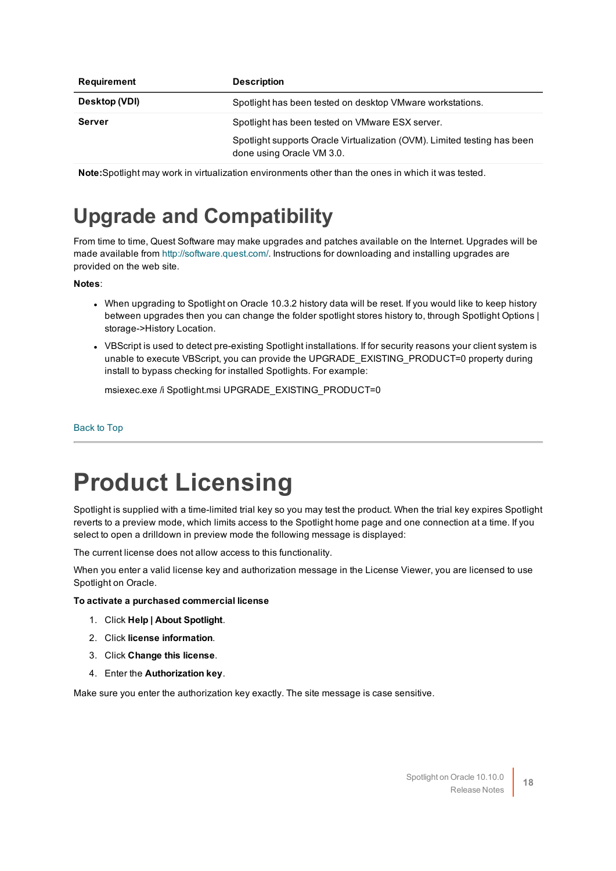| Requirement   | <b>Description</b>                                                                                    |
|---------------|-------------------------------------------------------------------------------------------------------|
| Desktop (VDI) | Spotlight has been tested on desktop VMware workstations.                                             |
| Server        | Spotlight has been tested on VMware ESX server.                                                       |
|               | Spotlight supports Oracle Virtualization (OVM). Limited testing has been<br>done using Oracle VM 3.0. |

**Note:**Spotlight may work in virtualization environments other than the ones in which it was tested.

### **Upgrade and Compatibility**

From time to time, Quest Software may make upgrades and patches available on the Internet. Upgrades will be made available from [http://software.quest.com/.](http://software.quest.com/) Instructions for downloading and installing upgrades are provided on the web site.

#### **Notes**:

- When upgrading to Spotlight on Oracle 10.3.2 history data will be reset. If you would like to keep history between upgrades then you can change the folder spotlight stores history to, through Spotlight Options | storage->History Location.
- VBScript is used to detect pre-existing Spotlight installations. If for security reasons your client system is unable to execute VBScript, you can provide the UPGRADE\_EXISTING\_PRODUCT=0 property during install to bypass checking for installed Spotlights. For example:

msiexec.exe /i Spotlight.msi UPGRADE\_EXISTING\_PRODUCT=0

#### <span id="page-17-0"></span>[Back](#page-0-1) to Top

## **Product Licensing**

Spotlight is supplied with a time-limited trial key so you may test the product. When the trial key expires Spotlight reverts to a preview mode, which limits access to the Spotlight home page and one connection at a time. If you select to open a drilldown in preview mode the following message is displayed:

The current license does not allow access to this functionality.

When you enter a valid license key and authorization message in the License Viewer, you are licensed to use Spotlight on Oracle.

#### **To activate a purchased commercial license**

- 1. Click **Help | About Spotlight**.
- 2. Click **license information**.
- 3. Click **Change this license**.
- 4. Enter the **Authorization key**.

Make sure you enter the authorization key exactly. The site message is case sensitive.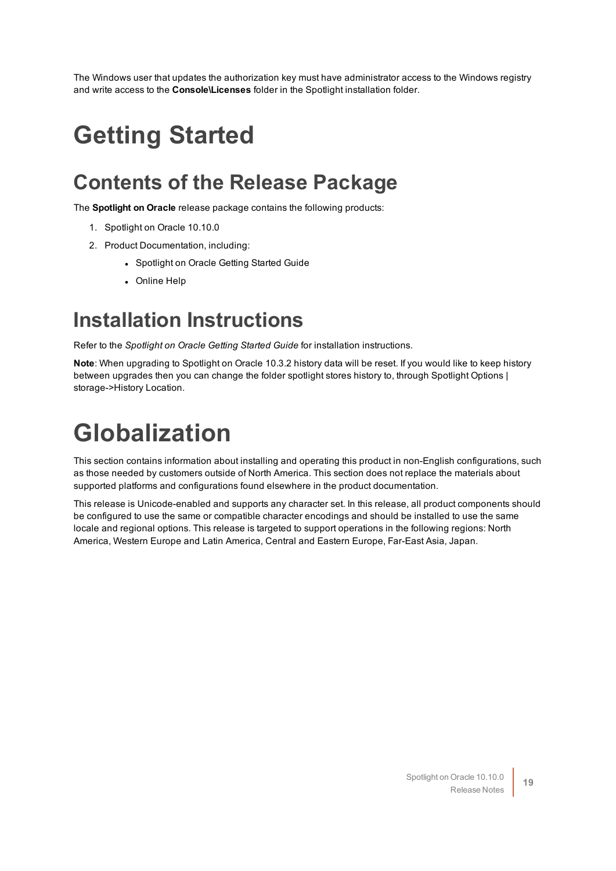<span id="page-18-0"></span>The Windows user that updates the authorization key must have administrator access to the Windows registry and write access to the **Console\Licenses** folder in the Spotlight installation folder.

## **Getting Started**

### **Contents of the Release Package**

The **Spotlight on Oracle** release package contains the following products:

- 1. Spotlight on Oracle 10.10.0
- 2. Product Documentation, including:
	- Spotlight on Oracle Getting Started Guide
	- Online Help

#### **Installation Instructions**

Refer to the *Spotlight on Oracle Getting Started Guide* for installation instructions.

**Note**: When upgrading to Spotlight on Oracle 10.3.2 history data will be reset. If you would like to keep history between upgrades then you can change the folder spotlight stores history to, through Spotlight Options | storage->History Location.

# <span id="page-18-1"></span>**Globalization**

This section contains information about installing and operating this product in non-English configurations, such as those needed by customers outside of North America. This section does not replace the materials about supported platforms and configurations found elsewhere in the product documentation.

This release is Unicode-enabled and supports any character set. In this release, all product components should be configured to use the same or compatible character encodings and should be installed to use the same locale and regional options. This release is targeted to support operations in the following regions: North America, Western Europe and Latin America, Central and Eastern Europe, Far-East Asia, Japan.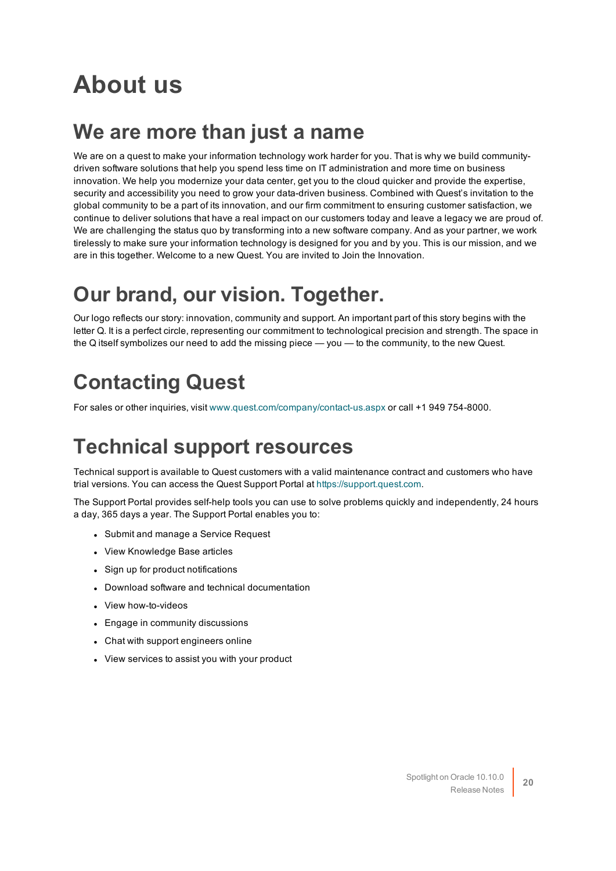## <span id="page-19-0"></span>**About us**

#### **We are more than just a name**

We are on a quest to make your information technology work harder for you. That is why we build communitydriven software solutions that help you spend less time on IT administration and more time on business innovation. We help you modernize your data center, get you to the cloud quicker and provide the expertise, security and accessibility you need to grow your data-driven business. Combined with Quest's invitation to the global community to be a part of its innovation, and our firm commitment to ensuring customer satisfaction, we continue to deliver solutions that have a real impact on our customers today and leave a legacy we are proud of. We are challenging the status quo by transforming into a new software company. And as your partner, we work tirelessly to make sure your information technology is designed for you and by you. This is our mission, and we are in this together. Welcome to a new Quest. You are invited to Join the Innovation.

### **Our brand, our vision. Together.**

Our logo reflects our story: innovation, community and support. An important part of this story begins with the letter Q. It is a perfect circle, representing our commitment to technological precision and strength. The space in the Q itself symbolizes our need to add the missing piece — you — to the community, to the new Quest.

### **Contacting Quest**

For sales or other inquiries, visit [www.quest.com/company/contact-us.aspx](https://www.quest.com/company/contact-us.aspx) or call +1 949 754-8000.

### **Technical support resources**

Technical support is available to Quest customers with a valid maintenance contract and customers who have trial versions. You can access the Quest Support Portal at [https://support.quest.com](https://support.quest.com/).

The Support Portal provides self-help tools you can use to solve problems quickly and independently, 24 hours a day, 365 days a year. The Support Portal enables you to:

- Submit and manage a Service Request
- View Knowledge Base articles
- Sign up for product notifications
- Download software and technical documentation
- View how-to-videos
- Engage in community discussions
- Chat with support engineers online
- View services to assist you with your product